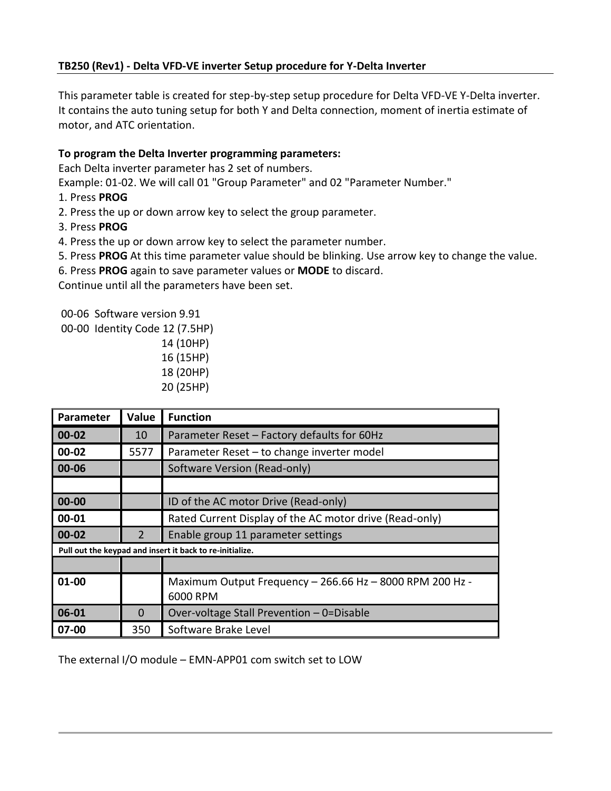## **TB250 (Rev1) - Delta VFD-VE inverter Setup procedure for Y-Delta Inverter**

This parameter table is created for step-by-step setup procedure for Delta VFD-VE Y-Delta inverter. It contains the auto tuning setup for both Y and Delta connection, moment of inertia estimate of motor, and ATC orientation.

### **To program the Delta Inverter programming parameters:**

Each Delta inverter parameter has 2 set of numbers.

Example: 01-02. We will call 01 "Group Parameter" and 02 "Parameter Number."

- 1. Press **PROG**
- 2. Press the up or down arrow key to select the group parameter.
- 3. Press **PROG**
- 4. Press the up or down arrow key to select the parameter number.
- 5. Press **PROG** At this time parameter value should be blinking. Use arrow key to change the value.
- 6. Press **PROG** again to save parameter values or **MODE** to discard.

Continue until all the parameters have been set.

00-06 Software version 9.91

00-00 Identity Code 12 (7.5HP)

 14 (10HP) 16 (15HP) 18 (20HP) 20 (25HP)

| <b>Parameter</b>                                         | Value          | <b>Function</b>                                                      |
|----------------------------------------------------------|----------------|----------------------------------------------------------------------|
| $00 - 02$                                                | 10             | Parameter Reset - Factory defaults for 60Hz                          |
| 00-02                                                    | 5577           | Parameter Reset - to change inverter model                           |
| 00-06                                                    |                | Software Version (Read-only)                                         |
|                                                          |                |                                                                      |
| $00 - 00$                                                |                | ID of the AC motor Drive (Read-only)                                 |
| 00-01                                                    |                | Rated Current Display of the AC motor drive (Read-only)              |
| 00-02                                                    | $\overline{2}$ | Enable group 11 parameter settings                                   |
| Pull out the keypad and insert it back to re-initialize. |                |                                                                      |
|                                                          |                |                                                                      |
| 01-00                                                    |                | Maximum Output Frequency - 266.66 Hz - 8000 RPM 200 Hz -<br>6000 RPM |
| 06-01                                                    | 0              | Over-voltage Stall Prevention - 0=Disable                            |
| 07-00                                                    | 350            | Software Brake Level                                                 |

The external I/O module – EMN-APP01 com switch set to LOW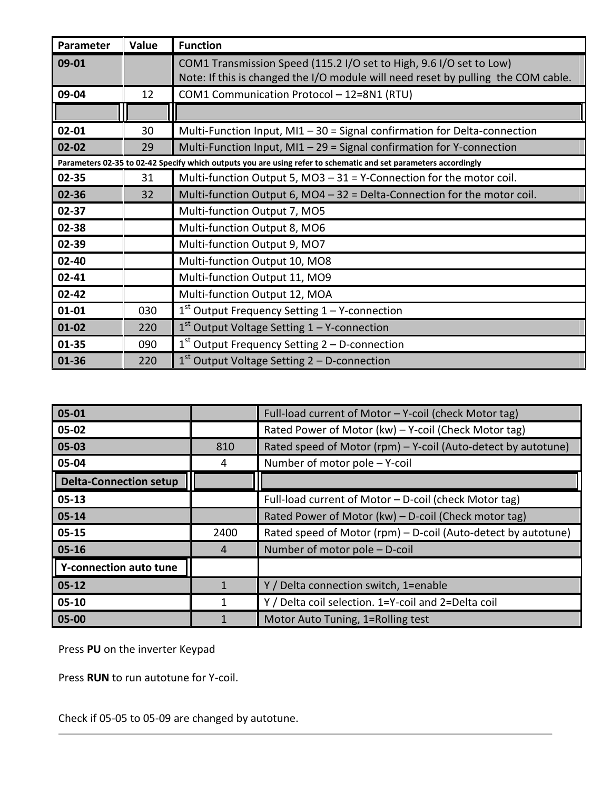| Parameter | Value | <b>Function</b>                                                                                                                                          |
|-----------|-------|----------------------------------------------------------------------------------------------------------------------------------------------------------|
| 09-01     |       | COM1 Transmission Speed (115.2 I/O set to High, 9.6 I/O set to Low)<br>Note: If this is changed the I/O module will need reset by pulling the COM cable. |
| 09-04     | 12    | COM1 Communication Protocol - 12=8N1 (RTU)                                                                                                               |
|           |       |                                                                                                                                                          |
| $02 - 01$ | 30    | Multi-Function Input, $M11 - 30 =$ Signal confirmation for Delta-connection                                                                              |
| $02 - 02$ | 29    | Multi-Function Input, $M11 - 29 =$ Signal confirmation for Y-connection                                                                                  |
|           |       | Parameters 02-35 to 02-42 Specify which outputs you are using refer to schematic and set parameters accordingly                                          |
| 02-35     | 31    | Multi-function Output 5, MO3 $-31$ = Y-Connection for the motor coil.                                                                                    |
| 02-36     | 32    | Multi-function Output 6, MO4 $-32$ = Delta-Connection for the motor coil.                                                                                |
| 02-37     |       | Multi-function Output 7, MO5                                                                                                                             |
| 02-38     |       | Multi-function Output 8, MO6                                                                                                                             |
| 02-39     |       | Multi-function Output 9, MO7                                                                                                                             |
| 02-40     |       | Multi-function Output 10, MO8                                                                                                                            |
| $02 - 41$ |       | Multi-function Output 11, MO9                                                                                                                            |
| $02 - 42$ |       | Multi-function Output 12, MOA                                                                                                                            |
| $01 - 01$ | 030   | $1st$ Output Frequency Setting $1 - Y$ -connection                                                                                                       |
| $01 - 02$ | 220   | $1st$ Output Voltage Setting $1 - Y$ -connection                                                                                                         |
| $01 - 35$ | 090   | $1st$ Output Frequency Setting 2 – D-connection                                                                                                          |
| 01-36     | 220   | $1st$ Output Voltage Setting 2 – D-connection                                                                                                            |

| 05-01                         |      | Full-load current of Motor - Y-coil (check Motor tag)         |
|-------------------------------|------|---------------------------------------------------------------|
| 05-02                         |      | Rated Power of Motor (kw) - Y-coil (Check Motor tag)          |
| 05-03                         | 810  | Rated speed of Motor (rpm) – Y-coil (Auto-detect by autotune) |
| 05-04                         | 4    | Number of motor pole - Y-coil                                 |
| <b>Delta-Connection setup</b> |      |                                                               |
| $05 - 13$                     |      | Full-load current of Motor - D-coil (check Motor tag)         |
| $05 - 14$                     |      | Rated Power of Motor (kw) - D-coil (Check motor tag)          |
| $05 - 15$                     | 2400 | Rated speed of Motor (rpm) – D-coil (Auto-detect by autotune) |
| $05 - 16$                     | 4    | Number of motor pole - D-coil                                 |
| Y-connection auto tune        |      |                                                               |
| $05 - 12$                     |      | Y / Delta connection switch, 1=enable                         |
| $05 - 10$                     |      | Y / Delta coil selection. 1=Y-coil and 2=Delta coil           |
| 05-00                         |      | Motor Auto Tuning, 1=Rolling test                             |

Press **PU** on the inverter Keypad

Press **RUN** to run autotune for Y-coil.

Check if 05-05 to 05-09 are changed by autotune.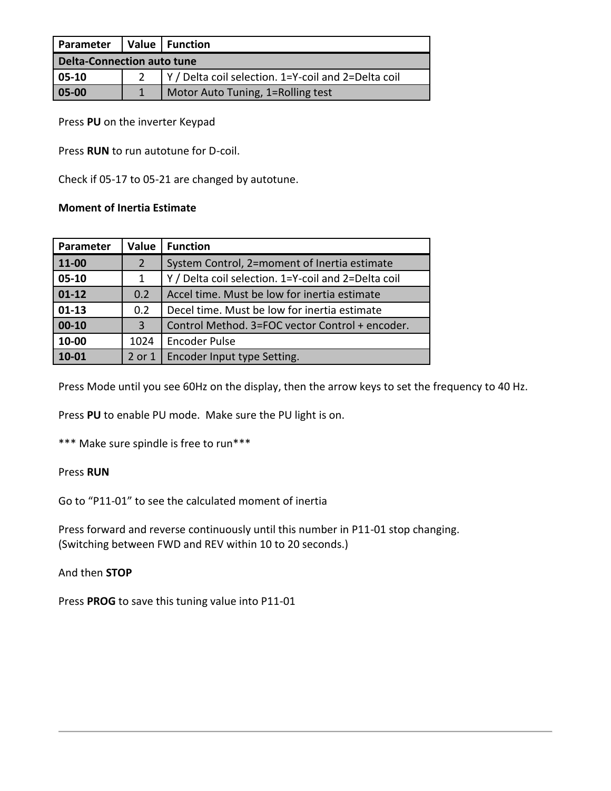| Parameter                         |  | Value   Function                                    |
|-----------------------------------|--|-----------------------------------------------------|
| <b>Delta-Connection auto tune</b> |  |                                                     |
| $05-10$                           |  | Y / Delta coil selection. 1=Y-coil and 2=Delta coil |
| 05-00                             |  | Motor Auto Tuning, 1=Rolling test                   |

Press **PU** on the inverter Keypad

Press **RUN** to run autotune for D-coil.

Check if 05-17 to 05-21 are changed by autotune.

#### **Moment of Inertia Estimate**

| Parameter | Value          | <b>Function</b>                                     |
|-----------|----------------|-----------------------------------------------------|
| 11-00     | $\overline{2}$ | System Control, 2=moment of Inertia estimate        |
| 05-10     | 1              | Y / Delta coil selection. 1=Y-coil and 2=Delta coil |
| $01-12$   | 0.2            | Accel time. Must be low for inertia estimate        |
| $01-13$   | 0.2            | Decel time. Must be low for inertia estimate        |
| $00 - 10$ | 3              | Control Method. 3=FOC vector Control + encoder.     |
| 10-00     | 1024           | <b>Encoder Pulse</b>                                |
| 10-01     | 2 or 1         | Encoder Input type Setting.                         |

Press Mode until you see 60Hz on the display, then the arrow keys to set the frequency to 40 Hz.

Press **PU** to enable PU mode. Make sure the PU light is on.

\*\*\* Make sure spindle is free to run\*\*\*

### Press **RUN**

Go to "P11-01" to see the calculated moment of inertia

Press forward and reverse continuously until this number in P11-01 stop changing. (Switching between FWD and REV within 10 to 20 seconds.)

And then **STOP**

Press **PROG** to save this tuning value into P11-01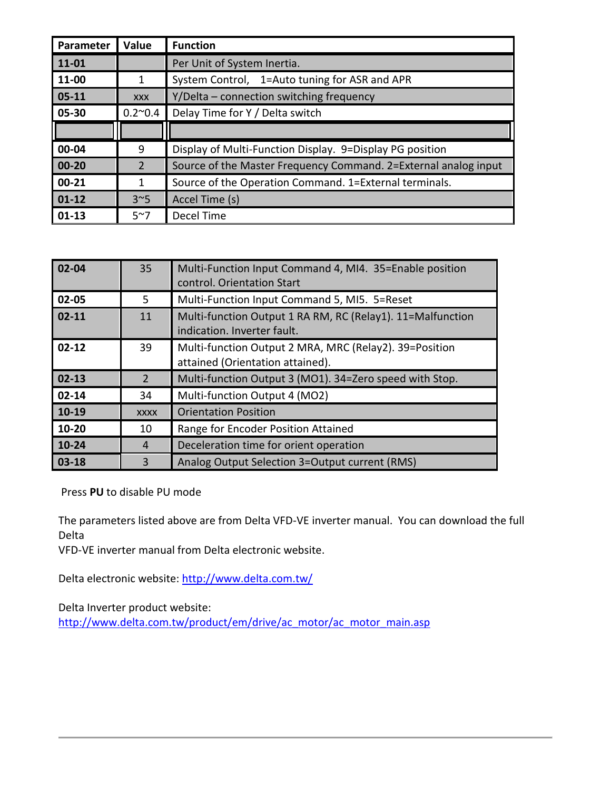| Parameter | Value           | <b>Function</b>                                                 |
|-----------|-----------------|-----------------------------------------------------------------|
| 11-01     |                 | Per Unit of System Inertia.                                     |
| 11-00     | 1               | System Control, 1=Auto tuning for ASR and APR                   |
| $05 - 11$ | <b>XXX</b>      | Y/Delta – connection switching frequency                        |
| 05-30     | $0.2^{\sim}0.4$ | Delay Time for Y / Delta switch                                 |
|           |                 |                                                                 |
| 00-04     | 9               | Display of Multi-Function Display. 9=Display PG position        |
| $00 - 20$ | 2               | Source of the Master Frequency Command. 2=External analog input |
| $00 - 21$ | 1               | Source of the Operation Command. 1=External terminals.          |
| $01 - 12$ | $3^{\sim}5$     | Accel Time (s)                                                  |
| $01 - 13$ | $5^{\sim}7$     | Decel Time                                                      |

| $02 - 04$ | 35          | Multi-Function Input Command 4, MI4. 35=Enable position<br>control. Orientation Start      |
|-----------|-------------|--------------------------------------------------------------------------------------------|
| 02-05     | 5.          | Multi-Function Input Command 5, MI5. 5=Reset                                               |
| $02 - 11$ | 11          | Multi-function Output 1 RA RM, RC (Relay1). 11=Malfunction<br>indication. Inverter fault.  |
| $02 - 12$ | 39          | Multi-function Output 2 MRA, MRC (Relay2). 39=Position<br>attained (Orientation attained). |
| $02 - 13$ | 2           | Multi-function Output 3 (MO1). 34=Zero speed with Stop.                                    |
| $02 - 14$ | 34          | Multi-function Output 4 (MO2)                                                              |
| 10-19     | <b>XXXX</b> | <b>Orientation Position</b>                                                                |
| 10-20     | 10          | Range for Encoder Position Attained                                                        |
| $10-24$   | 4           | Deceleration time for orient operation                                                     |
| $03 - 18$ | 3           | Analog Output Selection 3=Output current (RMS)                                             |

Press **PU** to disable PU mode

The parameters listed above are from Delta VFD-VE inverter manual. You can download the full Delta

VFD-VE inverter manual from Delta electronic website.

Delta electronic website:<http://www.delta.com.tw/>

Delta Inverter product website:

[http://www.delta.com.tw/product/em/drive/ac\\_motor/ac\\_motor\\_main.asp](http://www.delta.com.tw/product/em/drive/ac_motor/ac_motor_main.asp)